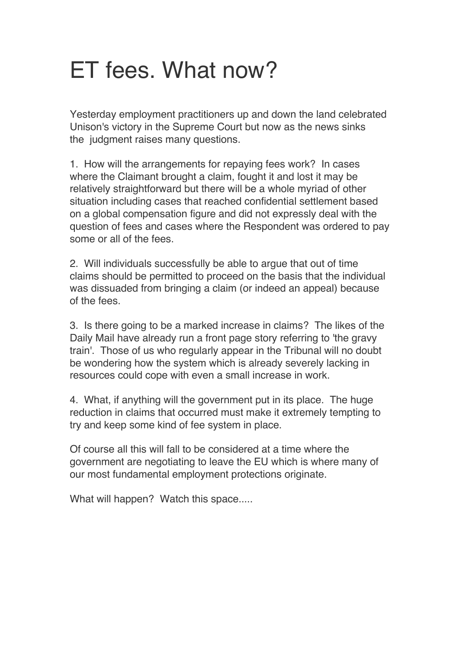## ET fees. What now?

Yesterday employment practitioners up and down the land celebrated Unison's victory in the Supreme Court but now as the news sinks the judgment raises many questions.

1. How will the arrangements for repaying fees work? In cases where the Claimant brought a claim, fought it and lost it may be relatively straightforward but there will be a whole myriad of other situation including cases that reached confidential settlement based on a global compensation figure and did not expressly deal with the question of fees and cases where the Respondent was ordered to pay some or all of the fees.

2. Will individuals successfully be able to argue that out of time claims should be permitted to proceed on the basis that the individual was dissuaded from bringing a claim (or indeed an appeal) because of the fees.

3. Is there going to be a marked increase in claims? The likes of the Daily Mail have already run a front page story referring to 'the gravy train'. Those of us who regularly appear in the Tribunal will no doubt be wondering how the system which is already severely lacking in resources could cope with even a small increase in work.

4. What, if anything will the government put in its place. The huge reduction in claims that occurred must make it extremely tempting to try and keep some kind of fee system in place.

Of course all this will fall to be considered at a time where the government are negotiating to leave the EU which is where many of our most fundamental employment protections originate.

What will happen? Watch this space.....